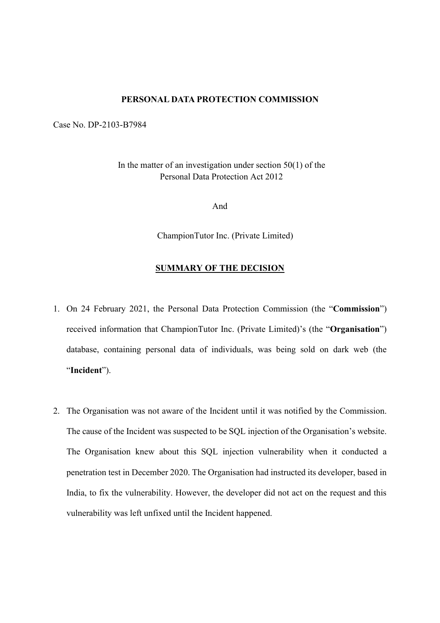## PERSONAL DATA PROTECTION COMMISSION

Case No. DP-2103-B7984

In the matter of an investigation under section  $50(1)$  of the Personal Data Protection Act 2012

And

ChampionTutor Inc. (Private Limited)

## SUMMARY OF THE DECISION

- 1. On 24 February 2021, the Personal Data Protection Commission (the "Commission") received information that ChampionTutor Inc. (Private Limited)'s (the "Organisation") database, containing personal data of individuals, was being sold on dark web (the "Incident").
- 2. The Organisation was not aware of the Incident until it was notified by the Commission. The cause of the Incident was suspected to be SQL injection of the Organisation's website. The Organisation knew about this SQL injection vulnerability when it conducted a penetration test in December 2020. The Organisation had instructed its developer, based in India, to fix the vulnerability. However, the developer did not act on the request and this vulnerability was left unfixed until the Incident happened.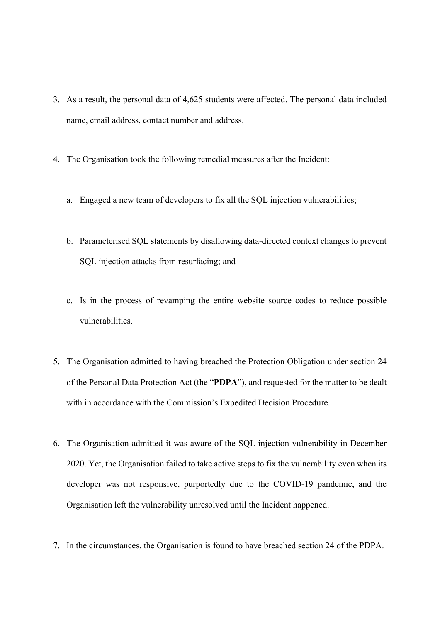- 3. As a result, the personal data of 4,625 students were affected. The personal data included name, email address, contact number and address.
- 4. The Organisation took the following remedial measures after the Incident:
	- a. Engaged a new team of developers to fix all the SQL injection vulnerabilities;
	- b. Parameterised SQL statements by disallowing data-directed context changes to prevent SQL injection attacks from resurfacing; and
	- c. Is in the process of revamping the entire website source codes to reduce possible vulnerabilities.
- 5. The Organisation admitted to having breached the Protection Obligation under section 24 of the Personal Data Protection Act (the "PDPA"), and requested for the matter to be dealt with in accordance with the Commission's Expedited Decision Procedure.
- 6. The Organisation admitted it was aware of the SQL injection vulnerability in December 2020. Yet, the Organisation failed to take active steps to fix the vulnerability even when its developer was not responsive, purportedly due to the COVID-19 pandemic, and the Organisation left the vulnerability unresolved until the Incident happened.
- 7. In the circumstances, the Organisation is found to have breached section 24 of the PDPA.